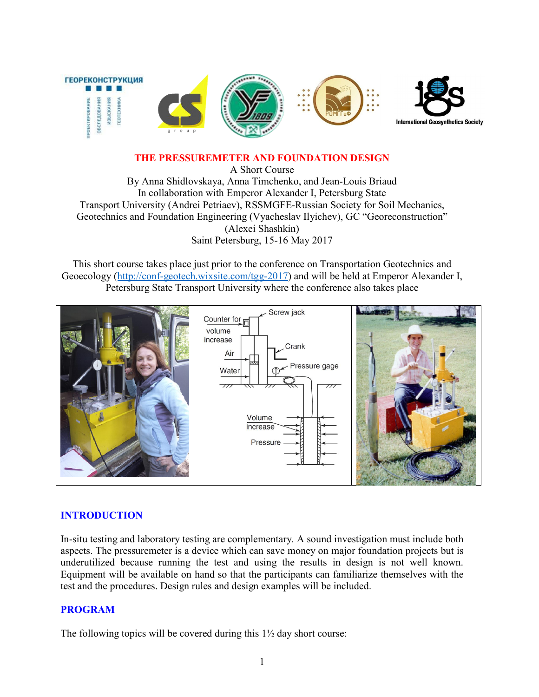

### THE PRESSUREMETER AND FOUNDATION DESIGN

A Short Course By Anna Shidlovskaya, Anna Timchenko, and Jean-Louis Briaud In collaboration with Emperor Alexander I, Petersburg State Transport University (Andrei Petriaev), RSSMGFE-Russian Society for Soil Mechanics, Geotechnics and Foundation Engineering (Vyacheslav Ilyichev), GC "Georeconstruction" (Alexei Shashkin) [Saint Petersburg, 15-16 M](http://conf-geotech.wixsite.com/tgg-2017)ay 2017

This short course takes place just prior to the conference on Transportation Geotechnics and Geoecology (http://conf-geotech.wixsite.com/tgg-2017) and will be held at Emperor Alexander I, Petersburg State Transport University where the conference also takes place



# INTRODUCTION

In-situ testing and laboratory testing are complementary. A sound investigation must include both aspects. The pressuremeter is a device which can save money on major foundation projects but is underutilized because running the test and using the results in design is not well known. Equipment will be available on hand so that the participants can familiarize themselves with the test and the procedures. Design rules and design examples will be included.

# PROGRAM

The following topics will be covered during this  $1\frac{1}{2}$  day short course: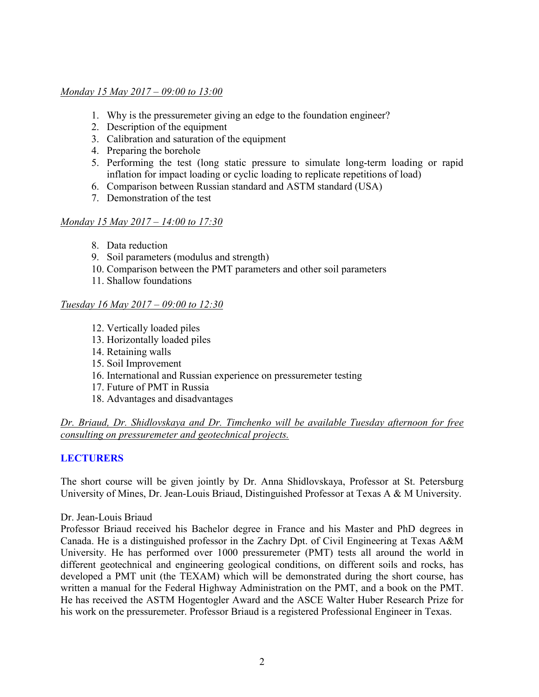### *Monday 15 May 2017 – 09:00 to 13:00*

- 1. Why is the pressuremeter giving an edge to the foundation engineer?
- 2. Description of the equipment
- 3. Calibration and saturation of the equipment
- 4. Preparing the borehole
- 5. Performing the test (long static pressure to simulate long-term loading or rapid inflation for impact loading or cyclic loading to replicate repetitions of load)
- 6. Comparison between Russian standard and ASTM standard (USA)
- 7. Demonstration of the test

## *Monday 15 May 2017 – 14:00 to 17:30*

- 8. Data reduction
- 9. Soil parameters (modulus and strength)
- 10. Comparison between the PMT parameters and other soil parameters
- 11. Shallow foundations

## *Tuesday 16 May 2017 – 09:00 to 12:30*

- 12. Vertically loaded piles
- 13. Horizontally loaded piles
- 14. Retaining walls
- 15. Soil Improvement
- 16. International and Russian experience on pressuremeter testing
- 17. Future of PMT in Russia
- 18. Advantages and disadvantages

## *Dr. Briaud, Dr. Shidlovskaya and Dr. Timchenko will be available Tuesday afternoon for free consulting on pressuremeter and geotechnical projects.*

# **LECTURERS**

The short course will be given jointly by Dr. Anna Shidlovskaya, Professor at St. Petersburg University of Mines, Dr. Jean-Louis Briaud, Distinguished Professor at Texas A & M University.

#### Dr. Jean-Louis Briaud

Professor Briaud received his Bachelor degree in France and his Master and PhD degrees in Canada. He is a distinguished professor in the Zachry Dpt. of Civil Engineering at Texas A&M University. He has performed over 1000 pressuremeter (PMT) tests all around the world in different geotechnical and engineering geological conditions, on different soils and rocks, has developed a PMT unit (the TEXAM) which will be demonstrated during the short course, has written a manual for the Federal Highway Administration on the PMT, and a book on the PMT. He has received the ASTM Hogentogler Award and the ASCE Walter Huber Research Prize for his work on the pressuremeter. Professor Briaud is a registered Professional Engineer in Texas.